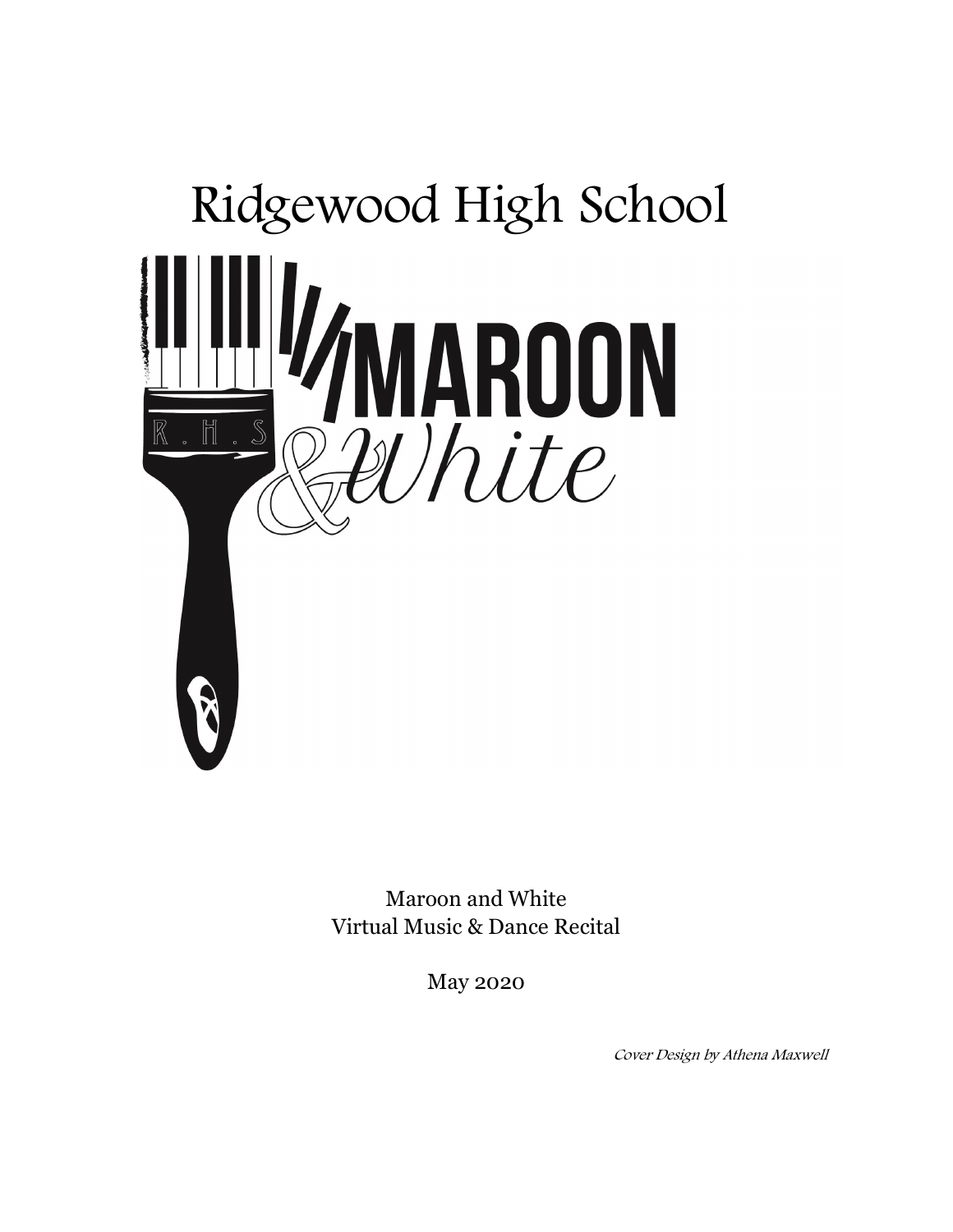

Maroon and White Virtual Music & Dance Recital

May 2020

Cover Design by Athena Maxwell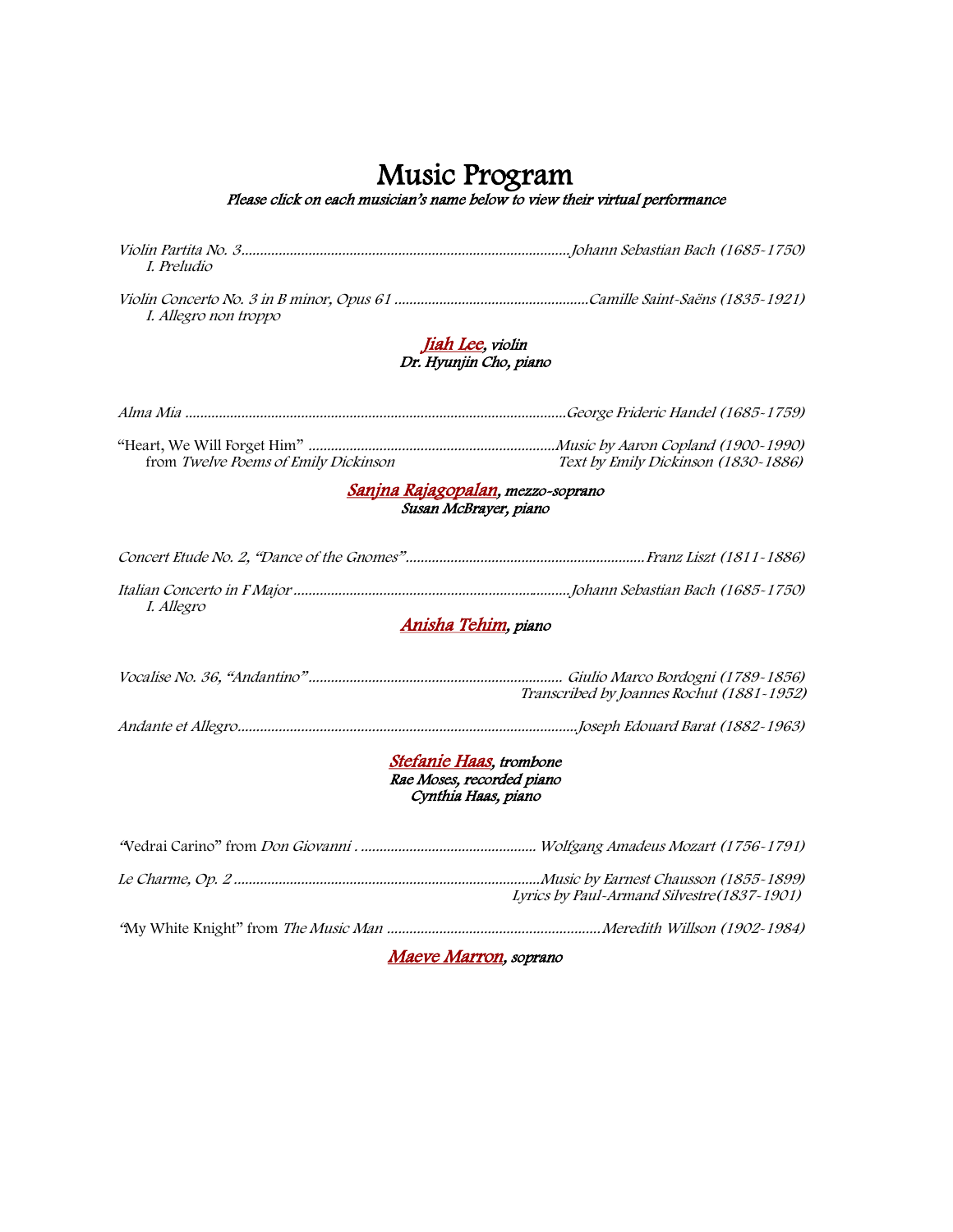# Music Program

Please click on each musician's name below to view their virtual performance

Violin Partita No. 3........................................................................................Johann Sebastian Bach (1685-1750) I. Preludio

Violin Concerto No. 3 in B minor, Opus 61 ....................................................Camille Saint-Saëns (1835-1921) I. Allegro non troppo

#### [Jiah Lee](https://www.youtube.com/watch?v=d9g7r3AzY60&feature=youtu.be), violin Dr. Hyunjin Cho, piano

| from Twelve Poems of Emily Dickinson | Text by Emily Dickinson (1830~1886) |
|--------------------------------------|-------------------------------------|

#### [Sanjna Rajagopalan](https://www.youtube.com/watch?v=vj7UOuy4Lag&feature=youtu.be), mezzo-soprano Susan McBrayer, piano

| I. Allegro |  |
|------------|--|

#### [Anisha Tehim](https://www.youtube.com/watch?v=-OyYzmw21cQ&feature=youtu.be), piano

| Transcribed by Joannes Rochut (1881-1952) |
|-------------------------------------------|
|                                           |

#### [Stefanie Haas](https://www.youtube.com/watch?v=jUCWrPjdPs0&feature=youtu.be), trombone Rae Moses, recorded piano Cynthia Haas, piano

| Maeve Marron, soprano |                                             |  |
|-----------------------|---------------------------------------------|--|
|                       |                                             |  |
|                       | Lyrics by Paul-Armand Silvestre (1837-1901) |  |
|                       |                                             |  |
|                       |                                             |  |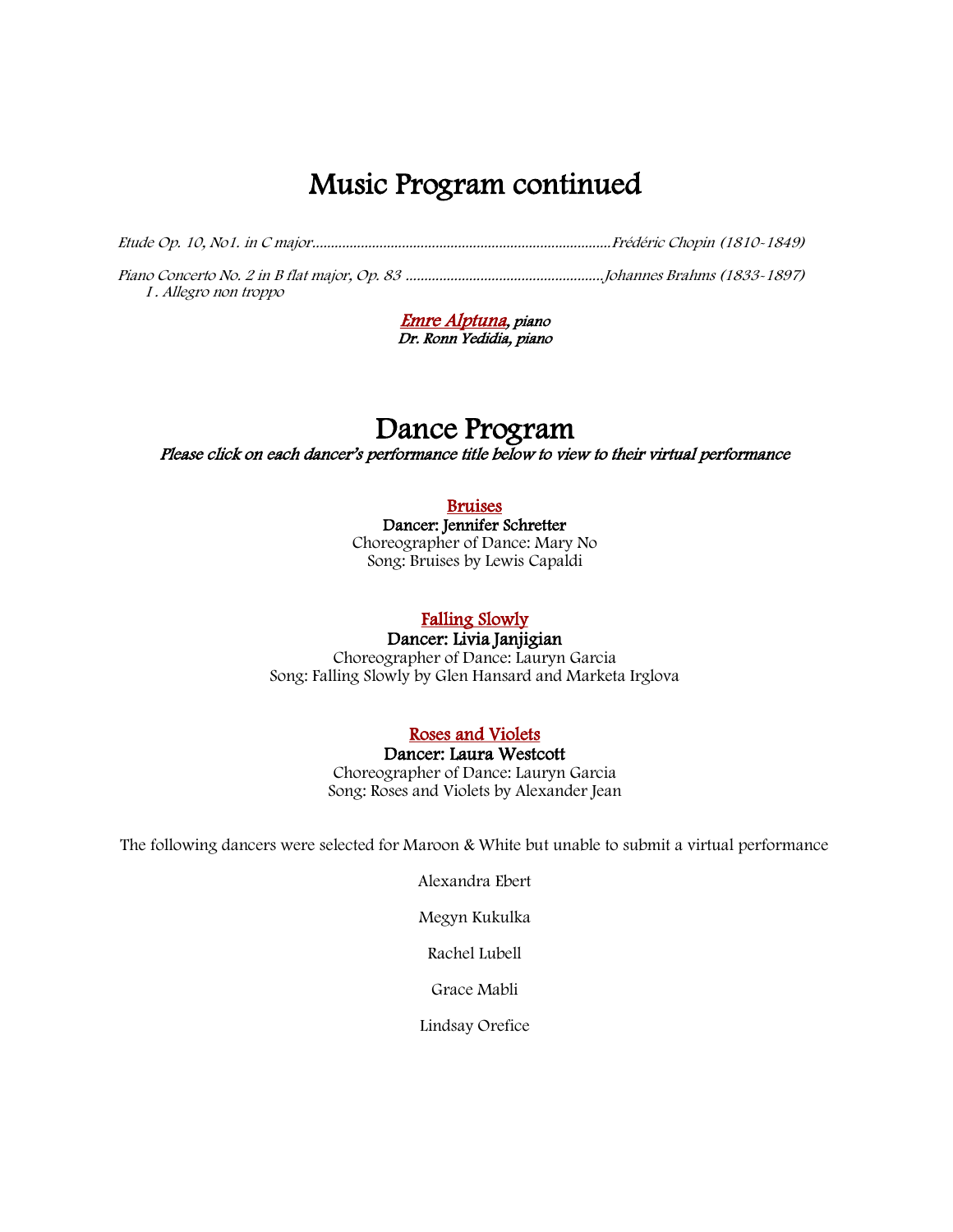## Music Program continued

Etude Op. 10, No1. in C major................................................................................Frédéric Chopin (1810-1849)

Piano Concerto No. 2 in B flat major, Op. 83 .....................................................Johannes Brahms (1833-1897) I . Allegro non troppo

> [Emre Alptuna](https://www.youtube.com/watch?v=Lid5EC2WGS4&feature=youtu.be), piano Dr. Ronn Yedidia, piano

# Dance Program

Please click on each dancer's performance title below to view to their virtual performance

#### [Bruises](https://www.youtube.com/watch?v=FN7kclrXNFM&feature=youtu.be)

Dancer: Jennifer Schretter Choreographer of Dance: Mary No Song: Bruises by Lewis Capaldi

### [Falling Slowly](https://www.youtube.com/watch?v=ccphCUO1SW0&feature=youtu.be)

Dancer: Livia Janjigian Choreographer of Dance: Lauryn Garcia Song: Falling Slowly by Glen Hansard and Marketa Irglova

#### [Roses and Violets](https://www.youtube.com/watch?v=EST_Hubo-ds)

Dancer: Laura Westcott Choreographer of Dance: Lauryn Garcia Song: Roses and Violets by Alexander Jean

The following dancers were selected for Maroon & White but unable to submit a virtual performance

Alexandra Ebert

Megyn Kukulka

Rachel Lubell

Grace Mabli

Lindsay Orefice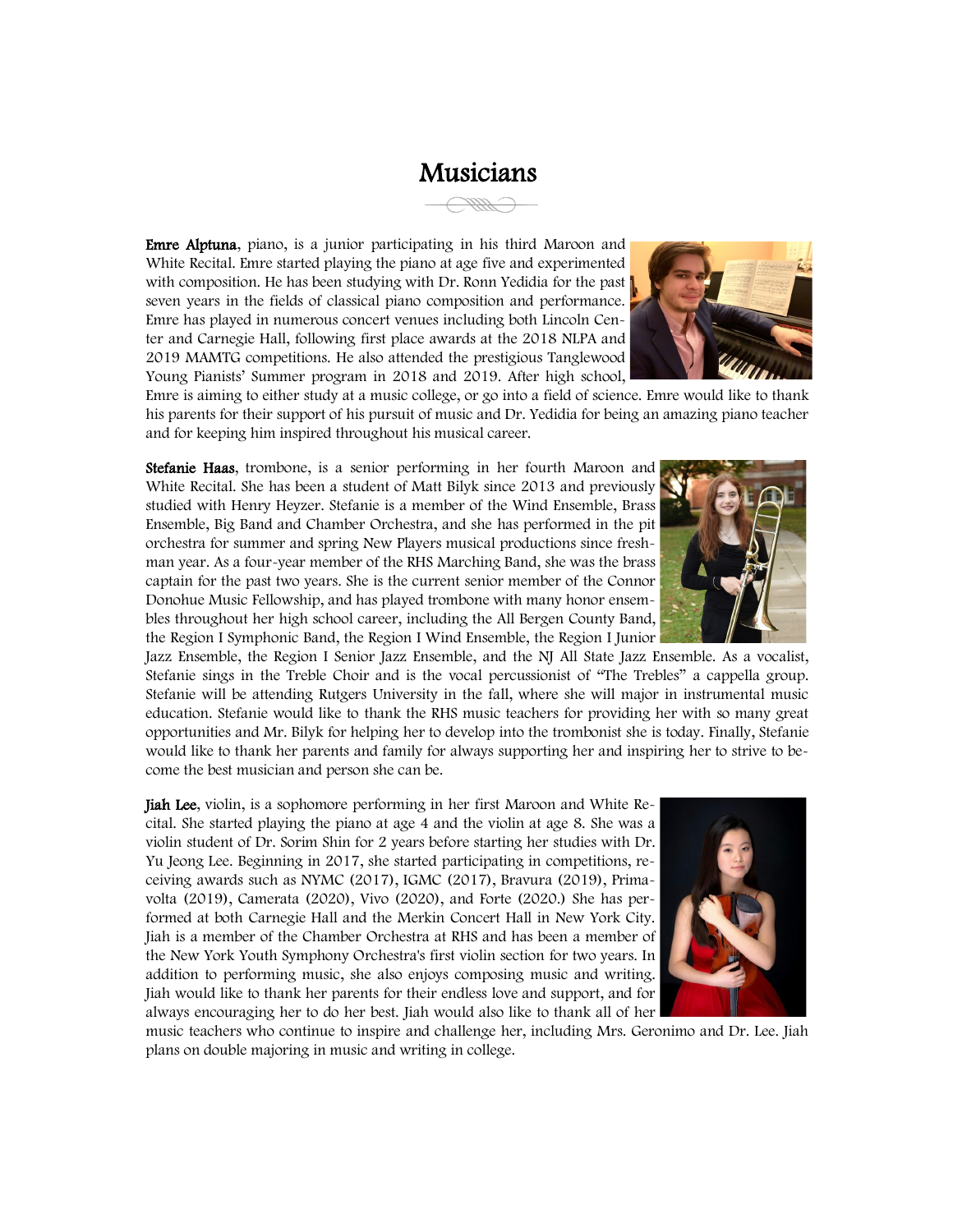### Musicians

Emre Alptuna, piano, is a junior participating in his third Maroon and White Recital. Emre started playing the piano at age five and experimented with composition. He has been studying with Dr. Ronn Yedidia for the past seven years in the fields of classical piano composition and performance. Emre has played in numerous concert venues including both Lincoln Center and Carnegie Hall, following first place awards at the 2018 NLPA and 2019 MAMTG competitions. He also attended the prestigious Tanglewood Young Pianists' Summer program in 2018 and 2019. After high school,



Emre is aiming to either study at a music college, or go into a field of science. Emre would like to thank his parents for their support of his pursuit of music and Dr. Yedidia for being an amazing piano teacher and for keeping him inspired throughout his musical career.

Stefanie Haas, trombone, is a senior performing in her fourth Maroon and White Recital. She has been a student of Matt Bilyk since 2013 and previously studied with Henry Heyzer. Stefanie is a member of the Wind Ensemble, Brass Ensemble, Big Band and Chamber Orchestra, and she has performed in the pit orchestra for summer and spring New Players musical productions since freshman year. As a four-year member of the RHS Marching Band, she was the brass captain for the past two years. She is the current senior member of the Connor Donohue Music Fellowship, and has played trombone with many honor ensembles throughout her high school career, including the All Bergen County Band, the Region I Symphonic Band, the Region I Wind Ensemble, the Region I Junior

Jazz Ensemble, the Region I Senior Jazz Ensemble, and the NJ All State Jazz Ensemble. As a vocalist, Stefanie sings in the Treble Choir and is the vocal percussionist of "The Trebles" a cappella group. Stefanie will be attending Rutgers University in the fall, where she will major in instrumental music education. Stefanie would like to thank the RHS music teachers for providing her with so many great opportunities and Mr. Bilyk for helping her to develop into the trombonist she is today. Finally, Stefanie would like to thank her parents and family for always supporting her and inspiring her to strive to become the best musician and person she can be.

Jiah Lee, violin, is a sophomore performing in her first Maroon and White Recital. She started playing the piano at age 4 and the violin at age 8. She was a violin student of Dr. Sorim Shin for 2 years before starting her studies with Dr. Yu Jeong Lee. Beginning in 2017, she started participating in competitions, receiving awards such as NYMC (2017), IGMC (2017), Bravura (2019), Primavolta (2019), Camerata (2020), Vivo (2020), and Forte (2020.) She has performed at both Carnegie Hall and the Merkin Concert Hall in New York City. Jiah is a member of the Chamber Orchestra at RHS and has been a member of the New York Youth Symphony Orchestra's first violin section for two years. In addition to performing music, she also enjoys composing music and writing. Jiah would like to thank her parents for their endless love and support, and for always encouraging her to do her best. Jiah would also like to thank all of her

music teachers who continue to inspire and challenge her, including Mrs. Geronimo and Dr. Lee. Jiah plans on double majoring in music and writing in college.



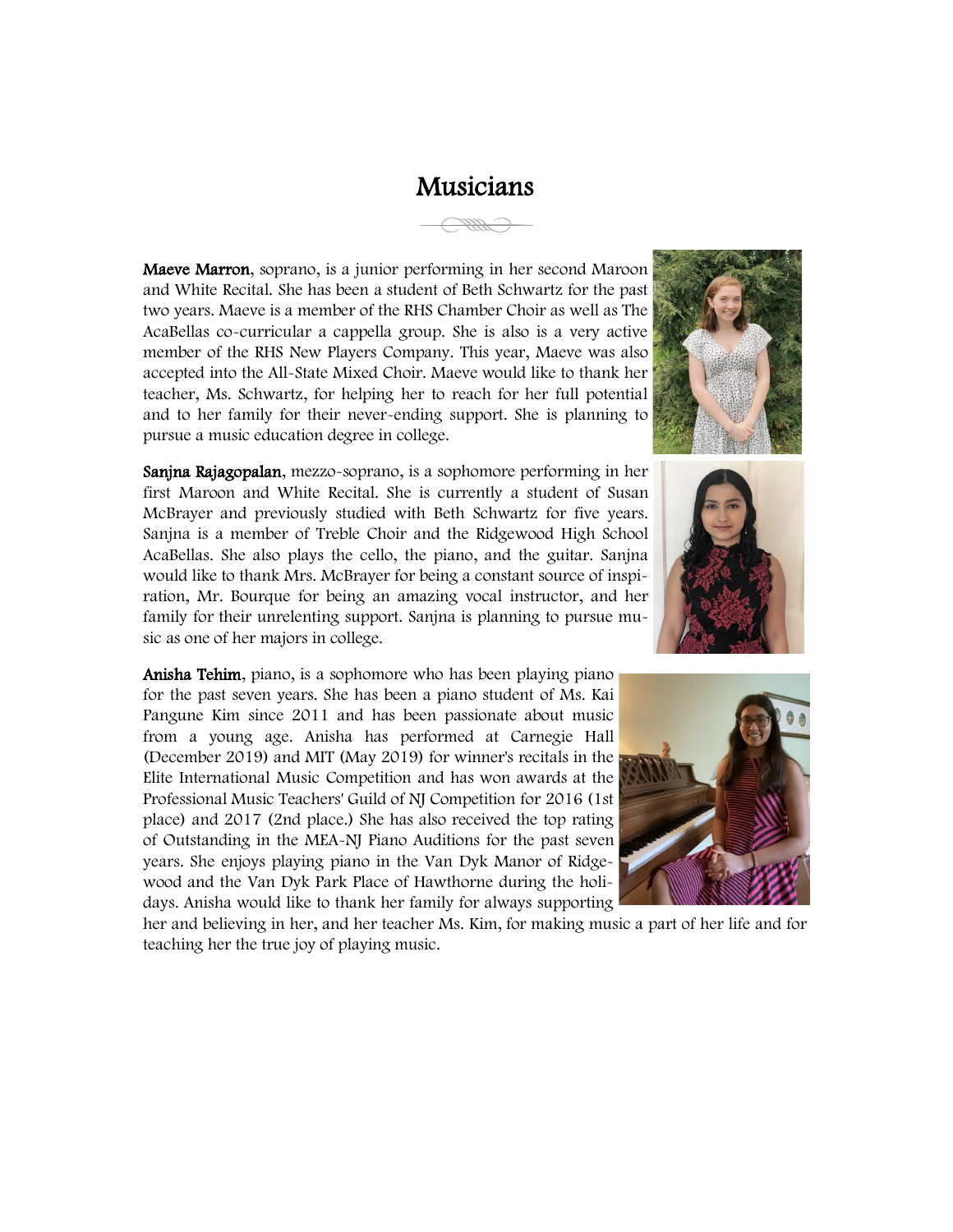## Musicians

Maeve Marron, soprano, is a junior performing in her second Maroon and White Recital. She has been a student of Beth Schwartz for the past two years. Maeve is a member of the RHS Chamber Choir as well as The AcaBellas co-curricular a cappella group. She is also is a very active member of the RHS New Players Company. This year, Maeve was also accepted into the All-State Mixed Choir. Maeve would like to thank her teacher, Ms. Schwartz, for helping her to reach for her full potential and to her family for their never-ending support. She is planning to pursue a music education degree in college.

Sanjna Rajagopalan, mezzo-soprano, is a sophomore performing in her first Maroon and White Recital. She is currently a student of Susan McBrayer and previously studied with Beth Schwartz for five years. Sanjna is a member of Treble Choir and the Ridgewood High School AcaBellas. She also plays the cello, the piano, and the guitar. Sanjna would like to thank Mrs. McBrayer for being a constant source of inspiration, Mr. Bourque for being an amazing vocal instructor, and her family for their unrelenting support. Sanjna is planning to pursue music as one of her majors in college.

Anisha Tehim, piano, is a sophomore who has been playing piano for the past seven years. She has been a piano student of Ms. Kai Pangune Kim since 2011 and has been passionate about music from a young age. Anisha has performed at Carnegie Hall (December 2019) and MIT (May 2019) for winner's recitals in the Elite International Music Competition and has won awards at the Professional Music Teachers' Guild of NJ Competition for 2016 (1st place) and 2017 (2nd place.) She has also received the top rating of Outstanding in the MEA-NJ Piano Auditions for the past seven years. She enjoys playing piano in the Van Dyk Manor of Ridgewood and the Van Dyk Park Place of Hawthorne during the holidays. Anisha would like to thank her family for always supporting

her and believing in her, and her teacher Ms. Kim, for making music a part of her life and for teaching her the true joy of playing music.